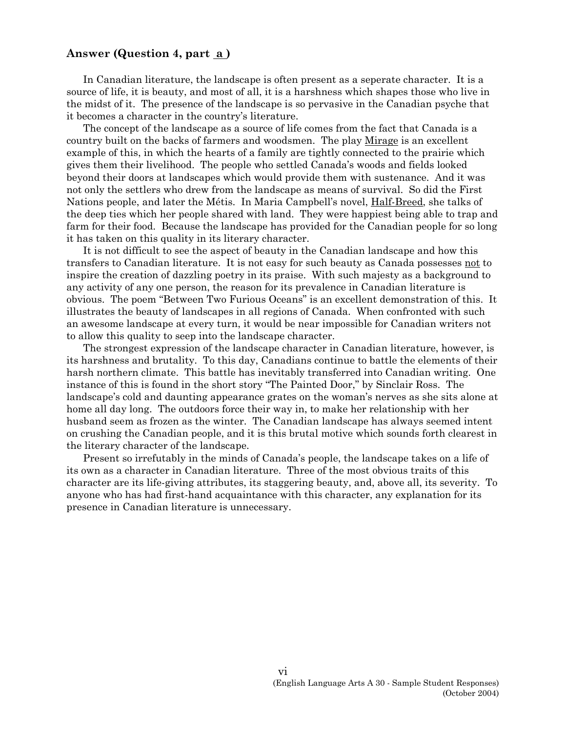### **Answer (Question 4, part a )**

In Canadian literature, the landscape is often present as a seperate character. It is a source of life, it is beauty, and most of all, it is a harshness which shapes those who live in the midst of it. The presence of the landscape is so pervasive in the Canadian psyche that it becomes a character in the country's literature.

The concept of the landscape as a source of life comes from the fact that Canada is a country built on the backs of farmers and woodsmen. The play Mirage is an excellent example of this, in which the hearts of a family are tightly connected to the prairie which gives them their livelihood. The people who settled Canada's woods and fields looked beyond their doors at landscapes which would provide them with sustenance. And it was not only the settlers who drew from the landscape as means of survival. So did the First Nations people, and later the Métis. In Maria Campbell's novel, Half-Breed, she talks of the deep ties which her people shared with land. They were happiest being able to trap and farm for their food. Because the landscape has provided for the Canadian people for so long it has taken on this quality in its literary character.

It is not difficult to see the aspect of beauty in the Canadian landscape and how this transfers to Canadian literature. It is not easy for such beauty as Canada possesses not to inspire the creation of dazzling poetry in its praise. With such majesty as a background to any activity of any one person, the reason for its prevalence in Canadian literature is obvious. The poem "Between Two Furious Oceans" is an excellent demonstration of this. It illustrates the beauty of landscapes in all regions of Canada. When confronted with such an awesome landscape at every turn, it would be near impossible for Canadian writers not to allow this quality to seep into the landscape character.

The strongest expression of the landscape character in Canadian literature, however, is its harshness and brutality. To this day, Canadians continue to battle the elements of their harsh northern climate. This battle has inevitably transferred into Canadian writing. One instance of this is found in the short story "The Painted Door," by Sinclair Ross. The landscape's cold and daunting appearance grates on the woman's nerves as she sits alone at home all day long. The outdoors force their way in, to make her relationship with her husband seem as frozen as the winter. The Canadian landscape has always seemed intent on crushing the Canadian people, and it is this brutal motive which sounds forth clearest in the literary character of the landscape.

Present so irrefutably in the minds of Canada's people, the landscape takes on a life of its own as a character in Canadian literature. Three of the most obvious traits of this character are its life-giving attributes, its staggering beauty, and, above all, its severity. To anyone who has had first-hand acquaintance with this character, any explanation for its presence in Canadian literature is unnecessary.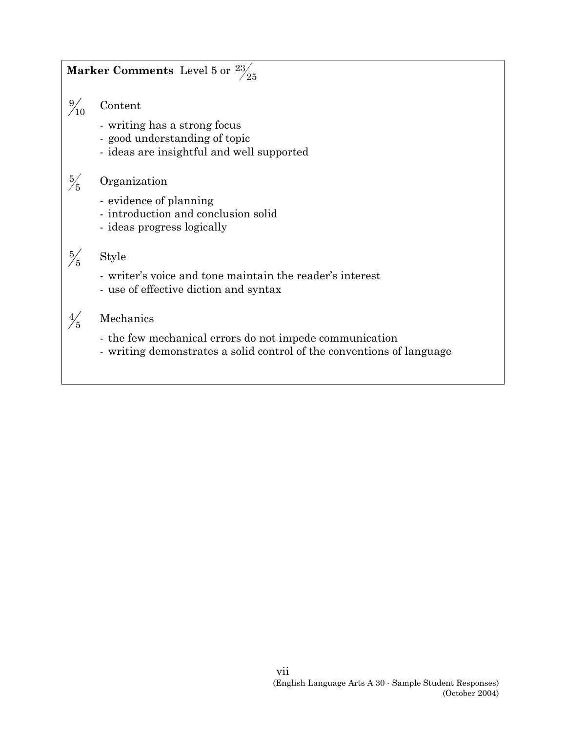## $\textbf{Market Comments:} \text{Level 5 or } \frac{23}{25}$

 $\frac{9}{10}$ **Content** 

- writing has a strong focus
- good understanding of topic
- ideas are insightful and well supported

#### $\frac{5}{5}$ **Organization**

- evidence of planning
- introduction and conclusion solid
- ideas progress logically

# $\frac{5}{5}$

- writer's voice and tone maintain the reader's interest
- use of effective diction and syntax

#### $\frac{4}{5}$ Mechanics

**Style** 

- the few mechanical errors do not impede communication
- writing demonstrates a solid control of the conventions of language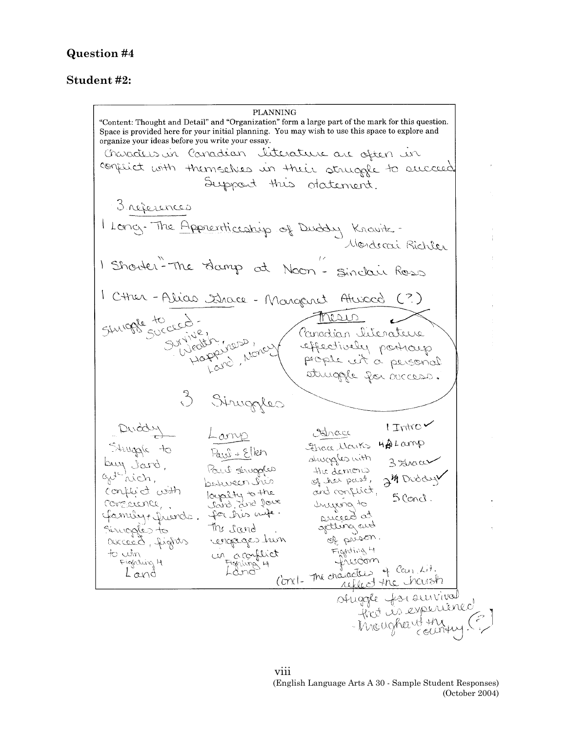## **Question #4**

### **Student #2:**

**PLANNING** "Content: Thought and Detail" and "Organization" form a large part of the mark for this question. Space is provided here for your initial planning. You may wish to use this space to explore and organize your ideas before you write your essay. Characters in Canadian literature are aften in conflict with themselves in their struggle to succeed. Support this otatement. 3 références I Long. The Apprenticeship of Duddy Knowitz. 1 Shouter-The damp at Noon-Sindair Ross 1 Cther - Alice Strace - Margaret Atuscod (?) Simon de la compte de la concerne de la compte de la compte de la partie de la compte de la compte de la compte de la compte de la compte de la compte de la compte de la compte de la compte de la compte de la compte de la Siruggles Duddy Lany<br>Struggle to Paul + Ellen<br>buy Jard, Paul struggles<br>aut nich, between his<br>conserver, Jard, and Jour<br>Conserver, Jard, and Jour<br>Gemuly t fruinds. for this wife.  $1$  Introv Anace Etrace Marks HipLamp shuggles with 3 Strace the demons 24 Duddy and conflict,  $5$  Concl. mying to conclusion. Poi dispose Sinoples to getting and The sand. of prison rengages hun Fighting 4 un aconflict to win t from the decirity Fighting H Land

viii (English Language Arts A 30 - Sample Student Responses) (October 2004)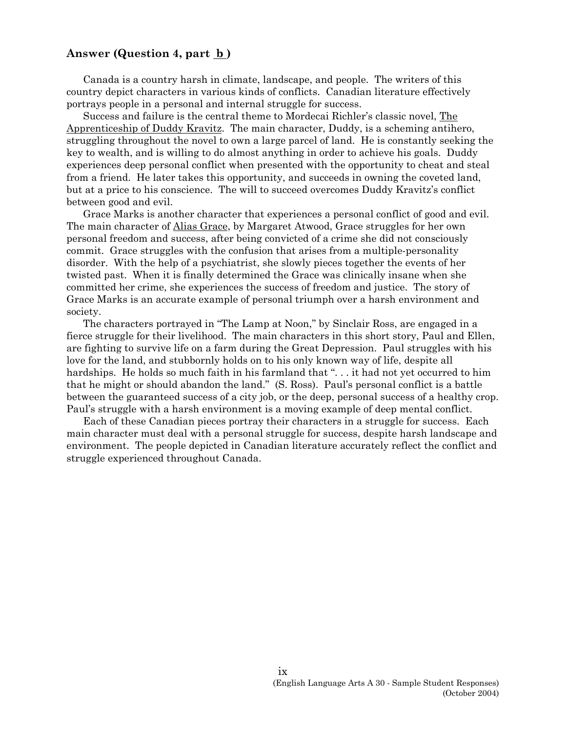### Answer (Question 4, part <u>b</u>)

Canada is a country harsh in climate, landscape, and people. The writers of this country depict characters in various kinds of conflicts. Canadian literature effectively portrays people in a personal and internal struggle for success.

Success and failure is the central theme to Mordecai Richler's classic novel, The Apprenticeship of Duddy Kravitz. The main character, Duddy, is a scheming antihero, struggling throughout the novel to own a large parcel of land. He is constantly seeking the key to wealth, and is willing to do almost anything in order to achieve his goals. Duddy experiences deep personal conflict when presented with the opportunity to cheat and steal from a friend. He later takes this opportunity, and succeeds in owning the coveted land, but at a price to his conscience. The will to succeed overcomes Duddy Kravitz's conflict between good and evil.

Grace Marks is another character that experiences a personal conflict of good and evil. The main character of Alias Grace, by Margaret Atwood, Grace struggles for her own personal freedom and success, after being convicted of a crime she did not consciously commit. Grace struggles with the confusion that arises from a multiple-personality disorder. With the help of a psychiatrist, she slowly pieces together the events of her twisted past. When it is finally determined the Grace was clinically insane when she committed her crime, she experiences the success of freedom and justice. The story of Grace Marks is an accurate example of personal triumph over a harsh environment and society.

The characters portrayed in "The Lamp at Noon," by Sinclair Ross, are engaged in a fierce struggle for their livelihood. The main characters in this short story, Paul and Ellen, are fighting to survive life on a farm during the Great Depression. Paul struggles with his love for the land, and stubbornly holds on to his only known way of life, despite all hardships. He holds so much faith in his farmland that "... it had not yet occurred to him that he might or should abandon the land." (S. Ross). Paul's personal conflict is a battle between the guaranteed success of a city job, or the deep, personal success of a healthy crop. Paul's struggle with a harsh environment is a moving example of deep mental conflict.

Each of these Canadian pieces portray their characters in a struggle for success. Each main character must deal with a personal struggle for success, despite harsh landscape and environment. The people depicted in Canadian literature accurately reflect the conflict and struggle experienced throughout Canada.